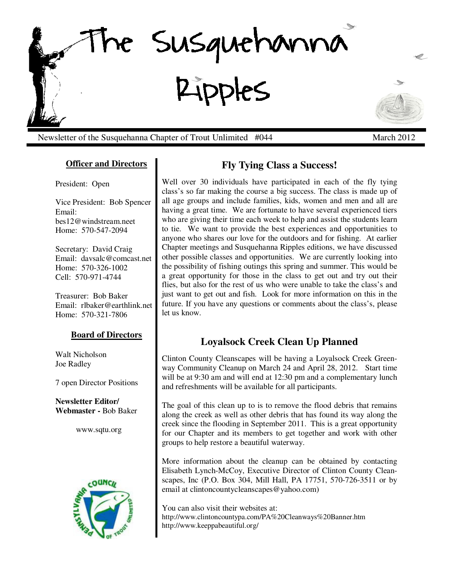

Newsletter of the Susquehanna Chapter of Trout Unlimited #044 March 2012

# **Officer and Directors**

President: Open

Vice President: Bob Spencer Email: bes12@windstream.neet Home: 570-547-2094

Secretary: David Craig Email: davsalc@comcast.net Home: 570-326-1002 Cell: 570-971-4744

Treasurer: Bob Baker Email: rlbaker@earthlink.net Home: 570-321-7806

### **Board of Directors**

Walt Nicholson Joe Radley

7 open Director Positions

**Newsletter Editor/ Webmaster -** Bob Baker

www.sqtu.org



# **Fly Tying Class a Success!**

Well over 30 individuals have participated in each of the fly tying class's so far making the course a big success. The class is made up of all age groups and include families, kids, women and men and all are having a great time. We are fortunate to have several experienced tiers who are giving their time each week to help and assist the students learn to tie. We want to provide the best experiences and opportunities to anyone who shares our love for the outdoors and for fishing. At earlier Chapter meetings and Susquehanna Ripples editions, we have discussed other possible classes and opportunities. We are currently looking into the possibility of fishing outings this spring and summer. This would be a great opportunity for those in the class to get out and try out their flies, but also for the rest of us who were unable to take the class's and just want to get out and fish. Look for more information on this in the future. If you have any questions or comments about the class's, please let us know.

# **Loyalsock Creek Clean Up Planned**

Clinton County Cleanscapes will be having a Loyalsock Creek Greenway Community Cleanup on March 24 and April 28, 2012. Start time will be at 9:30 am and will end at 12:30 pm and a complementary lunch and refreshments will be available for all participants.

The goal of this clean up to is to remove the flood debris that remains along the creek as well as other debris that has found its way along the creek since the flooding in September 2011. This is a great opportunity for our Chapter and its members to get together and work with other groups to help restore a beautiful waterway.

More information about the cleanup can be obtained by contacting Elisabeth Lynch-McCoy, Executive Director of Clinton County Cleanscapes, Inc (P.O. Box 304, Mill Hall, PA 17751, 570-726-3511 or by email at clintoncountycleanscapes@yahoo.com)

You can also visit their websites at: http://www.clintoncountypa.com/PA%20Cleanways%20Banner.htm http://www.keeppabeautiful.org/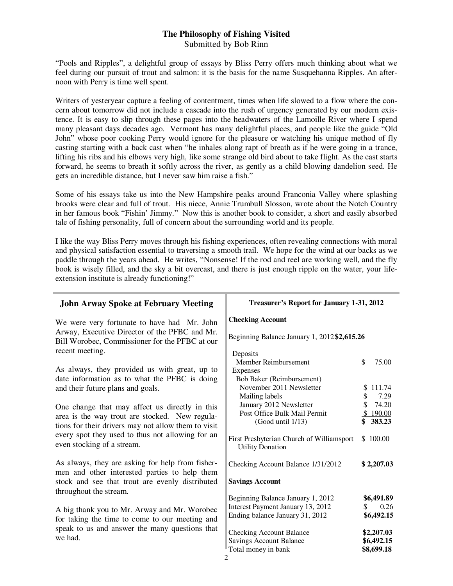## **The Philosophy of Fishing Visited** Submitted by Bob Rinn

"Pools and Ripples", a delightful group of essays by Bliss Perry offers much thinking about what we feel during our pursuit of trout and salmon: it is the basis for the name Susquehanna Ripples. An afternoon with Perry is time well spent.

Writers of yesteryear capture a feeling of contentment, times when life slowed to a flow where the concern about tomorrow did not include a cascade into the rush of urgency generated by our modern existence. It is easy to slip through these pages into the headwaters of the Lamoille River where I spend many pleasant days decades ago. Vermont has many delightful places, and people like the guide "Old John" whose poor cooking Perry would ignore for the pleasure or watching his unique method of fly casting starting with a back cast when "he inhales along rapt of breath as if he were going in a trance, lifting his ribs and his elbows very high, like some strange old bird about to take flight. As the cast starts forward, he seems to breath it softly across the river, as gently as a child blowing dandelion seed. He gets an incredible distance, but I never saw him raise a fish."

Some of his essays take us into the New Hampshire peaks around Franconia Valley where splashing brooks were clear and full of trout. His niece, Annie Trumbull Slosson, wrote about the Notch Country in her famous book "Fishin' Jimmy." Now this is another book to consider, a short and easily absorbed tale of fishing personality, full of concern about the surrounding world and its people.

I like the way Bliss Perry moves through his fishing experiences, often revealing connections with moral and physical satisfaction essential to traversing a smooth trail. We hope for the wind at our backs as we paddle through the years ahead. He writes, "Nonsense! If the rod and reel are working well, and the fly book is wisely filled, and the sky a bit overcast, and there is just enough ripple on the water, your lifeextension institute is already functioning!"

| <b>John Arway Spoke at February Meeting</b>                                                                                                                 | Treasurer's Report for January 1-31, 2012                                                                 |                                        |
|-------------------------------------------------------------------------------------------------------------------------------------------------------------|-----------------------------------------------------------------------------------------------------------|----------------------------------------|
| We were very fortunate to have had Mr. John<br>Arway, Executive Director of the PFBC and Mr.<br>Bill Worobec, Commissioner for the PFBC at our              | <b>Checking Account</b><br>Beginning Balance January 1, 2012 \$2,615.26                                   |                                        |
| recent meeting.<br>As always, they provided us with great, up to                                                                                            | Deposits<br>Member Reimbursement<br>Expenses                                                              | \$<br>75.00                            |
| date information as to what the PFBC is doing<br>and their future plans and goals.                                                                          | Bob Baker (Reimbursement)<br>November 2011 Newsletter<br>Mailing labels                                   | 111.74<br>\$.<br>7.29<br>\$            |
| One change that may affect us directly in this<br>area is the way trout are stocked. New regula-<br>tions for their drivers may not allow them to visit     | January 2012 Newsletter<br>Post Office Bulk Mail Permit<br>(Good until 1/13)                              | 74.20<br>\$190.00<br>383.23            |
| every spot they used to thus not allowing for an<br>even stocking of a stream.                                                                              | First Presbyterian Church of Williamsport<br><b>Utility Donation</b>                                      | \$100.00                               |
| As always, they are asking for help from fisher-<br>men and other interested parties to help them                                                           | Checking Account Balance 1/31/2012                                                                        | \$2,207.03                             |
| stock and see that trout are evenly distributed<br>throughout the stream.                                                                                   | <b>Savings Account</b>                                                                                    |                                        |
| A big thank you to Mr. Arway and Mr. Worobec<br>for taking the time to come to our meeting and<br>speak to us and answer the many questions that<br>we had. | Beginning Balance January 1, 2012<br>Interest Payment January 13, 2012<br>Ending balance January 31, 2012 | \$6,491.89<br>0.26<br>S.<br>\$6,492.15 |
|                                                                                                                                                             | <b>Checking Account Balance</b><br><b>Savings Account Balance</b><br>Total money in bank                  | \$2,207.03<br>\$6,492.15<br>\$8,699.18 |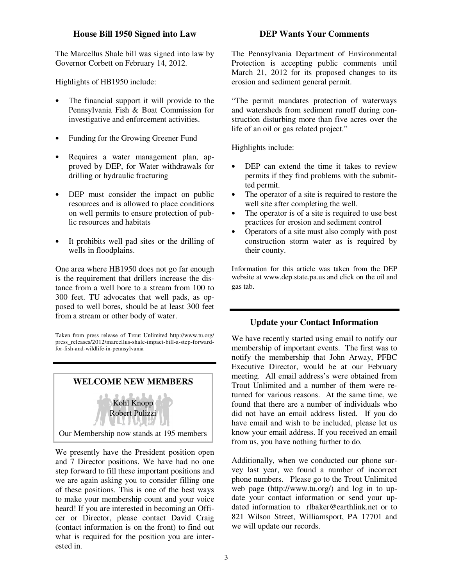### **House Bill 1950 Signed into Law**

The Marcellus Shale bill was signed into law by Governor Corbett on February 14, 2012.

Highlights of HB1950 include:

- The financial support it will provide to the Pennsylvania Fish & Boat Commission for investigative and enforcement activities.
- Funding for the Growing Greener Fund
- Requires a water management plan, approved by DEP, for Water withdrawals for drilling or hydraulic fracturing
- DEP must consider the impact on public resources and is allowed to place conditions on well permits to ensure protection of public resources and habitats
- It prohibits well pad sites or the drilling of wells in floodplains.

One area where HB1950 does not go far enough is the requirement that drillers increase the distance from a well bore to a stream from 100 to 300 feet. TU advocates that well pads, as opposed to well bores, should be at least 300 feet from a stream or other body of water.

Taken from press release of Trout Unlimited http://www.tu.org/ press\_releases/2012/marcellus-shale-impact-bill-a-step-forwardfor-fish-and-wildlife-in-pennsylvania



We presently have the President position open and 7 Director positions. We have had no one step forward to fill these important positions and we are again asking you to consider filling one of these positions. This is one of the best ways to make your membership count and your voice heard! If you are interested in becoming an Officer or Director, please contact David Craig (contact information is on the front) to find out what is required for the position you are interested in.

#### **DEP Wants Your Comments**

The Pennsylvania Department of Environmental Protection is accepting public comments until March 21, 2012 for its proposed changes to its erosion and sediment general permit.

"The permit mandates protection of waterways and watersheds from sediment runoff during construction disturbing more than five acres over the life of an oil or gas related project."

Highlights include:

- DEP can extend the time it takes to review permits if they find problems with the submitted permit.
- The operator of a site is required to restore the well site after completing the well.
- The operator is of a site is required to use best practices for erosion and sediment control
- Operators of a site must also comply with post construction storm water as is required by their county.

Information for this article was taken from the DEP website at www.dep.state.pa.us and click on the oil and gas tab.

#### **Update your Contact Information**

We have recently started using email to notify our membership of important events. The first was to notify the membership that John Arway, PFBC Executive Director, would be at our February meeting. All email address's were obtained from Trout Unlimited and a number of them were returned for various reasons. At the same time, we found that there are a number of individuals who did not have an email address listed. If you do have email and wish to be included, please let us know your email address. If you received an email from us, you have nothing further to do.

Additionally, when we conducted our phone survey last year, we found a number of incorrect phone numbers. Please go to the Trout Unlimited web page (http://www.tu.org/) and log in to update your contact information or send your updated information to rlbaker@earthlink.net or to 821 Wilson Street, Williamsport, PA 17701 and we will update our records.